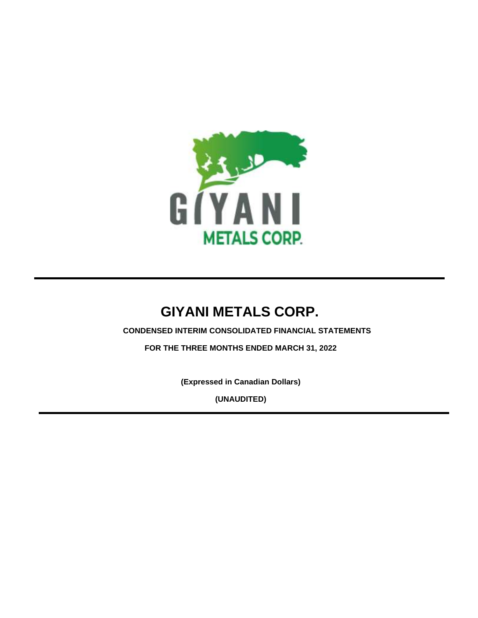

# **CONDENSED INTERIM CONSOLIDATED FINANCIAL STATEMENTS**

**FOR THE THREE MONTHS ENDED MARCH 31, 2022**

**(Expressed in Canadian Dollars)**

**(UNAUDITED)**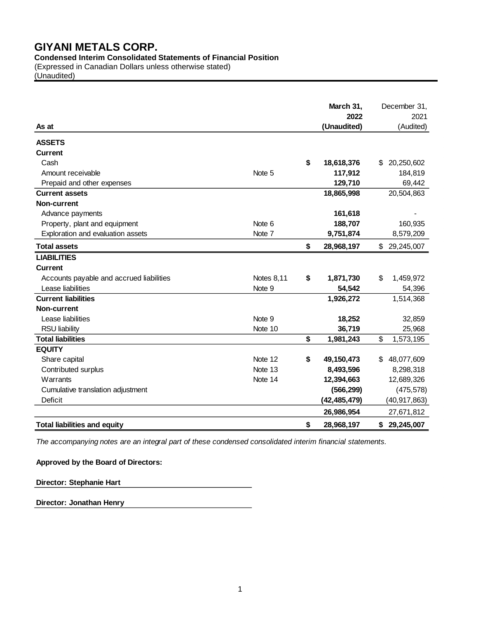**Condensed Interim Consolidated Statements of Financial Position**

(Expressed in Canadian Dollars unless otherwise stated)

(Unaudited)

| As at                                    |                   | March 31,<br>2022<br>(Unaudited) |     | December 31,<br>2021<br>(Audited) |
|------------------------------------------|-------------------|----------------------------------|-----|-----------------------------------|
| <b>ASSETS</b>                            |                   |                                  |     |                                   |
| <b>Current</b>                           |                   |                                  |     |                                   |
| Cash                                     |                   | \$<br>18,618,376                 | \$. | 20,250,602                        |
| Amount receivable                        | Note 5            | 117,912                          |     | 184,819                           |
| Prepaid and other expenses               |                   | 129,710                          |     | 69,442                            |
| <b>Current assets</b>                    |                   | 18,865,998                       |     | 20,504,863                        |
| Non-current                              |                   |                                  |     |                                   |
| Advance payments                         |                   | 161,618                          |     |                                   |
| Property, plant and equipment            | Note 6            | 188,707                          |     | 160,935                           |
| Exploration and evaluation assets        | Note 7            | 9,751,874                        |     | 8,579,209                         |
| <b>Total assets</b>                      |                   | \$<br>28,968,197                 | \$  | 29,245,007                        |
| <b>LIABILITIES</b>                       |                   |                                  |     |                                   |
| <b>Current</b>                           |                   |                                  |     |                                   |
| Accounts payable and accrued liabilities | <b>Notes 8,11</b> | \$<br>1,871,730                  | \$  | 1,459,972                         |
| Lease liabilities                        | Note 9            | 54,542                           |     | 54,396                            |
| <b>Current liabilities</b>               |                   | 1,926,272                        |     | 1,514,368                         |
| <b>Non-current</b>                       |                   |                                  |     |                                   |
| Lease liabilities                        | Note 9            | 18,252                           |     | 32,859                            |
| <b>RSU liability</b>                     | Note 10           | 36,719                           |     | 25,968                            |
| <b>Total liabilities</b>                 |                   | \$<br>1,981,243                  | \$  | 1,573,195                         |
| <b>EQUITY</b>                            |                   |                                  |     |                                   |
| Share capital                            | Note 12           | \$<br>49,150,473                 | \$  | 48,077,609                        |
| Contributed surplus                      | Note 13           | 8,493,596                        |     | 8,298,318                         |
| Warrants                                 | Note 14           | 12,394,663                       |     | 12,689,326                        |
| Cumulative translation adjustment        |                   | (566, 299)                       |     | (475, 578)                        |
| Deficit                                  |                   | (42, 485, 479)                   |     | (40, 917, 863)                    |
|                                          |                   | 26,986,954                       |     | 27,671,812                        |
| <b>Total liabilities and equity</b>      |                   | \$<br>28,968,197                 | \$  | 29,245,007                        |

*The accompanying notes are an integral part of these condensed consolidated interim financial statements.*

### **Approved by the Board of Directors:**

# **Director: Stephanie Hart**

**Director: Jonathan Henry**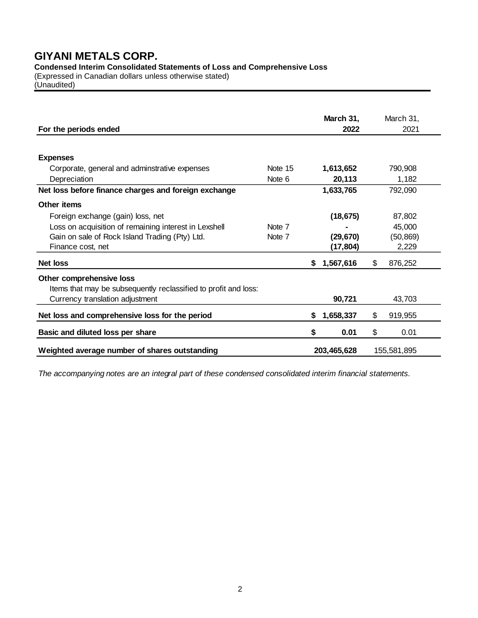**Condensed Interim Consolidated Statements of Loss and Comprehensive Loss**

(Expressed in Canadian dollars unless otherwise stated) (Unaudited)

| For the periods ended                                           |                   |    | March 31,<br>2022 |                | March 31,<br>2021 |
|-----------------------------------------------------------------|-------------------|----|-------------------|----------------|-------------------|
|                                                                 |                   |    |                   |                |                   |
| <b>Expenses</b>                                                 |                   |    |                   |                |                   |
| Corporate, general and adminstrative expenses                   | Note 15           |    | 1,613,652         |                | 790,908           |
| Depreciation                                                    | Note 6            |    | 20,113            |                | 1,182             |
| Net loss before finance charges and foreign exchange            |                   |    | 1,633,765         |                | 792,090           |
| Other items                                                     |                   |    |                   |                |                   |
| Foreign exchange (gain) loss, net                               |                   |    | (18, 675)         |                | 87,802            |
| Loss on acquisition of remaining interest in Lexshell           | Note <sub>7</sub> |    |                   |                | 45,000            |
| Gain on sale of Rock Island Trading (Pty) Ltd.                  | Note 7            |    | (29, 670)         |                | (50, 869)         |
| Finance cost, net                                               |                   |    | (17, 804)         |                | 2,229             |
| <b>Net loss</b>                                                 |                   | S. | 1,567,616         | \$             | 876,252           |
| Other comprehensive loss                                        |                   |    |                   |                |                   |
| Items that may be subsequently reclassified to profit and loss: |                   |    |                   |                |                   |
| Currency translation adjustment                                 |                   |    | 90,721            |                | 43,703            |
| Net loss and comprehensive loss for the period                  |                   | S. | 1,658,337         | $\mathfrak{S}$ | 919,955           |
| Basic and diluted loss per share                                |                   | \$ | 0.01              | \$             | 0.01              |
| Weighted average number of shares outstanding                   |                   |    | 203,465,628       |                | 155,581,895       |

*The accompanying notes are an integral part of these condensed consolidated interim financial statements.*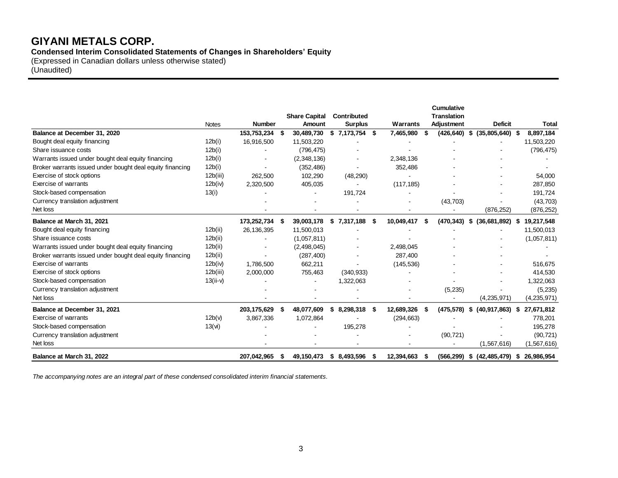**Condensed Interim Consolidated Statements of Changes in Shareholders' Equity**

(Expressed in Canadian dollars unless otherwise stated) (Unaudited)

|                                                           |                   |               |      |                      |                    |      |            |      | <b>Cumulative</b>  |                                  |      |              |
|-----------------------------------------------------------|-------------------|---------------|------|----------------------|--------------------|------|------------|------|--------------------|----------------------------------|------|--------------|
|                                                           |                   |               |      | <b>Share Capital</b> | Contributed        |      |            |      | <b>Translation</b> |                                  |      |              |
|                                                           | <b>Notes</b>      | <b>Number</b> |      | <b>Amount</b>        | <b>Surplus</b>     |      | Warrants   |      | Adjustment         | <b>Deficit</b>                   |      | <b>Total</b> |
| Balance at December 31, 2020                              |                   | 153,753,234   | - \$ | 30,489,730           | 7,173,754 \$<br>\$ |      | 7,465,980  |      | (426, 640)         | $(35,805,640)$ \$<br>S.          |      | 8,897,184    |
| Bought deal equity financing                              | 12b(i)            | 16,916,500    |      | 11,503,220           |                    |      |            |      |                    |                                  |      | 11,503,220   |
| Share issuance costs                                      | 12b(i)            |               |      | (796, 475)           |                    |      |            |      |                    |                                  |      | (796, 475)   |
| Warrants issued under bought deal equity financing        | 12b(i)            |               |      | (2,348,136)          |                    |      | 2,348,136  |      |                    |                                  |      |              |
| Broker warrants issued under bought deal equity financing | 12b(i)            |               |      | (352, 486)           |                    |      | 352,486    |      |                    |                                  |      |              |
| Exercise of stock options                                 | 12b(iii)          | 262,500       |      | 102,290              | (48, 290)          |      |            |      |                    |                                  |      | 54,000       |
| Exercise of warrants                                      | 12b(iv)           | 2,320,500     |      | 405,035              |                    |      | (117, 185) |      |                    |                                  |      | 287,850      |
| Stock-based compensation                                  | 13(i)             |               |      |                      | 191,724            |      |            |      |                    |                                  |      | 191,724      |
| Currency translation adjustment                           |                   |               |      |                      |                    |      |            |      | (43,703)           |                                  |      | (43,703)     |
| Net loss                                                  |                   |               |      |                      |                    |      |            |      |                    | (876, 252)                       |      | (876, 252)   |
| Balance at March 31, 2021                                 |                   | 173,252,734   | - \$ | 39,003,178           | \$7,317,188        | -\$  | 10,049,417 |      | (470,343)          | (36,681,892)<br>\$               | - \$ | 19,217,548   |
| Bought deal equity financing                              | 12b(ii)           | 26,136,395    |      | 11,500,013           |                    |      |            |      |                    |                                  |      | 11,500,013   |
| Share issuance costs                                      | 12b(ii)           |               |      | (1,057,811)          |                    |      |            |      |                    |                                  |      | (1,057,811)  |
| Warrants issued under bought deal equity financing        | 12b(ii)           |               |      | (2,498,045)          |                    |      | 2,498,045  |      |                    |                                  |      |              |
| Broker warrants issued under bought deal equity financing | 12b(ii)           |               |      | (287, 400)           |                    |      | 287,400    |      |                    |                                  |      |              |
| Exercise of warrants                                      | 12b(iv)           | 1.786.500     |      | 662,211              |                    |      | (145, 536) |      |                    |                                  |      | 516.675      |
| Exercise of stock options                                 | 12b(iii)          | 2,000,000     |      | 755,463              | (340, 933)         |      |            |      |                    |                                  |      | 414,530      |
| Stock-based compensation                                  | $13(ii-v)$        |               |      |                      | 1,322,063          |      |            |      |                    |                                  |      | 1,322,063    |
| Currency translation adjustment                           |                   |               |      |                      |                    |      |            |      | (5,235)            |                                  |      | (5,235)      |
| Net loss                                                  |                   |               |      |                      |                    |      |            |      |                    | (4,235,971)                      |      | (4,235,971)  |
| Balance at December 31, 2021                              |                   | 203, 175, 629 | -\$  | 48,077,609           | 8,298,318<br>S     | - \$ | 12,689,326 | - 56 | (475, 578)         | (40, 917, 863)<br>S.             | - 5  | 27,671,812   |
| Exercise of warrants                                      | 12b(v)            | 3,867,336     |      | 1,072,864            |                    |      | (294, 663) |      |                    |                                  |      | 778,201      |
| Stock-based compensation                                  | $13(\mathsf{vi})$ |               |      |                      | 195,278            |      |            |      |                    |                                  |      | 195,278      |
| Currency translation adjustment                           |                   |               |      |                      |                    |      |            |      | (90, 721)          |                                  |      | (90, 721)    |
| Net loss                                                  |                   |               |      |                      |                    |      |            |      |                    | (1, 567, 616)                    |      | (1,567,616)  |
| Balance at March 31, 2022                                 |                   | 207,042,965   | - \$ | 49,150,473           | \$8,493,596        | - \$ | 12,394,663 |      |                    | $(566, 299)$ \$ $(42, 485, 479)$ |      | \$26,986,954 |

*The accompanying notes are an integral part of these condensed consolidated interim financial statements.*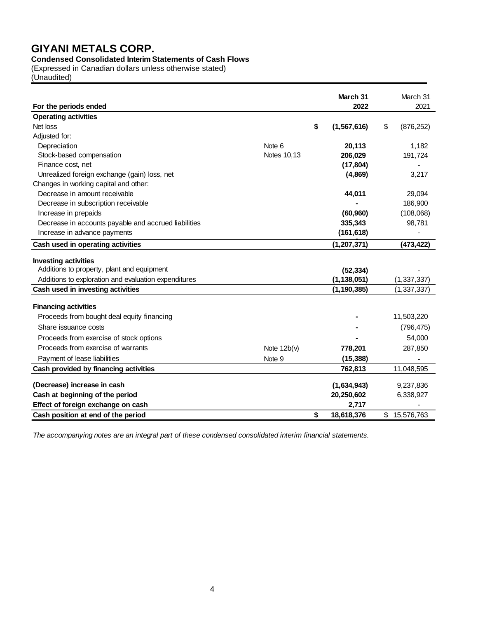# **Condensed Consolidated Interim Statements of Cash Flows**

(Expressed in Canadian dollars unless otherwise stated)

(Unaudited)

| For the periods ended                                |                    | March 31<br>2022    | March 31<br>2021 |
|------------------------------------------------------|--------------------|---------------------|------------------|
| <b>Operating activities</b>                          |                    |                     |                  |
| Net loss                                             |                    | \$<br>(1, 567, 616) | \$<br>(876, 252) |
| Adjusted for:                                        |                    |                     |                  |
| Depreciation                                         | Note 6             | 20,113              | 1,182            |
| Stock-based compensation                             | <b>Notes 10,13</b> | 206,029             | 191,724          |
| Finance cost, net                                    |                    | (17, 804)           |                  |
| Unrealized foreign exchange (gain) loss, net         |                    | (4,869)             | 3,217            |
| Changes in working capital and other:                |                    |                     |                  |
| Decrease in amount receivable                        |                    | 44,011              | 29,094           |
| Decrease in subscription receivable                  |                    |                     | 186,900          |
| Increase in prepaids                                 |                    | (60, 960)           | (108,068)        |
| Decrease in accounts payable and accrued liabilities |                    | 335,343             | 98,781           |
| Increase in advance payments                         |                    | (161, 618)          |                  |
| Cash used in operating activities                    |                    | (1, 207, 371)       | (473, 422)       |
| <b>Investing activities</b>                          |                    |                     |                  |
| Additions to property, plant and equipment           |                    | (52, 334)           |                  |
| Additions to exploration and evaluation expenditures |                    | (1, 138, 051)       | (1, 337, 337)    |
| Cash used in investing activities                    |                    | (1, 190, 385)       | (1, 337, 337)    |
| <b>Financing activities</b>                          |                    |                     |                  |
| Proceeds from bought deal equity financing           |                    |                     | 11,503,220       |
| Share issuance costs                                 |                    |                     | (796, 475)       |
| Proceeds from exercise of stock options              |                    |                     | 54,000           |
| Proceeds from exercise of warrants                   | Note $12b(v)$      | 778,201             | 287,850          |
| Payment of lease liabilities                         | Note 9             | (15, 388)           |                  |
| Cash provided by financing activities                |                    | 762,813             | 11,048,595       |
|                                                      |                    |                     |                  |
| (Decrease) increase in cash                          |                    | (1,634,943)         | 9,237,836        |
| Cash at beginning of the period                      |                    | 20,250,602          | 6,338,927        |
| Effect of foreign exchange on cash                   |                    | 2,717               |                  |
| Cash position at end of the period                   |                    | \$<br>18,618,376    | \$<br>15,576,763 |

*The accompanying notes are an integral part of these condensed consolidated interim financial statements.*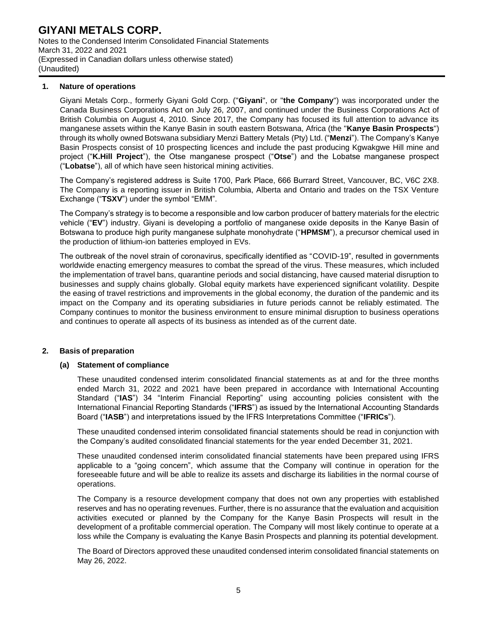Notes to the Condensed Interim Consolidated Financial Statements March 31, 2022 and 2021 (Expressed in Canadian dollars unless otherwise stated) (Unaudited)

#### **1. Nature of operations**

Giyani Metals Corp., formerly Giyani Gold Corp. ("**Giyani**", or "**the Company**") was incorporated under the Canada Business Corporations Act on July 26, 2007, and continued under the Business Corporations Act of British Columbia on August 4, 2010. Since 2017, the Company has focused its full attention to advance its manganese assets within the Kanye Basin in south eastern Botswana, Africa (the "**Kanye Basin Prospects**") through its wholly owned Botswana subsidiary Menzi Battery Metals (Pty) Ltd. ("**Menzi**"). The Company's Kanye Basin Prospects consist of 10 prospecting licences and include the past producing Kgwakgwe Hill mine and project ("**K.Hill Project**"), the Otse manganese prospect ("**Otse**") and the Lobatse manganese prospect ("**Lobatse**"), all of which have seen historical mining activities.

The Company's registered address is Suite 1700, Park Place, 666 Burrard Street, Vancouver, BC, V6C 2X8. The Company is a reporting issuer in British Columbia, Alberta and Ontario and trades on the TSX Venture Exchange ("**TSXV**") under the symbol "EMM".

The Company's strategy is to become a responsible and low carbon producer of battery materials for the electric vehicle ("**EV**") industry. Giyani is developing a portfolio of manganese oxide deposits in the Kanye Basin of Botswana to produce high purity manganese sulphate monohydrate ("**HPMSM**"), a precursor chemical used in the production of lithium-ion batteries employed in EVs.

The outbreak of the novel strain of coronavirus, specifically identified as "COVID-19", resulted in governments worldwide enacting emergency measures to combat the spread of the virus. These measures, which included the implementation of travel bans, quarantine periods and social distancing, have caused material disruption to businesses and supply chains globally. Global equity markets have experienced significant volatility. Despite the easing of travel restrictions and improvements in the global economy, the duration of the pandemic and its impact on the Company and its operating subsidiaries in future periods cannot be reliably estimated. The Company continues to monitor the business environment to ensure minimal disruption to business operations and continues to operate all aspects of its business as intended as of the current date.

# **2. Basis of preparation**

# **(a) Statement of compliance**

These unaudited condensed interim consolidated financial statements as at and for the three months ended March 31, 2022 and 2021 have been prepared in accordance with International Accounting Standard ("**IAS**") 34 "Interim Financial Reporting" using accounting policies consistent with the International Financial Reporting Standards ("**IFRS**") as issued by the International Accounting Standards Board ("**IASB**") and interpretations issued by the IFRS Interpretations Committee ("**IFRICs**").

These unaudited condensed interim consolidated financial statements should be read in conjunction with the Company's audited consolidated financial statements for the year ended December 31, 2021.

These unaudited condensed interim consolidated financial statements have been prepared using IFRS applicable to a "going concern", which assume that the Company will continue in operation for the foreseeable future and will be able to realize its assets and discharge its liabilities in the normal course of operations.

The Company is a resource development company that does not own any properties with established reserves and has no operating revenues. Further, there is no assurance that the evaluation and acquisition activities executed or planned by the Company for the Kanye Basin Prospects will result in the development of a profitable commercial operation. The Company will most likely continue to operate at a loss while the Company is evaluating the Kanye Basin Prospects and planning its potential development.

The Board of Directors approved these unaudited condensed interim consolidated financial statements on May 26, 2022.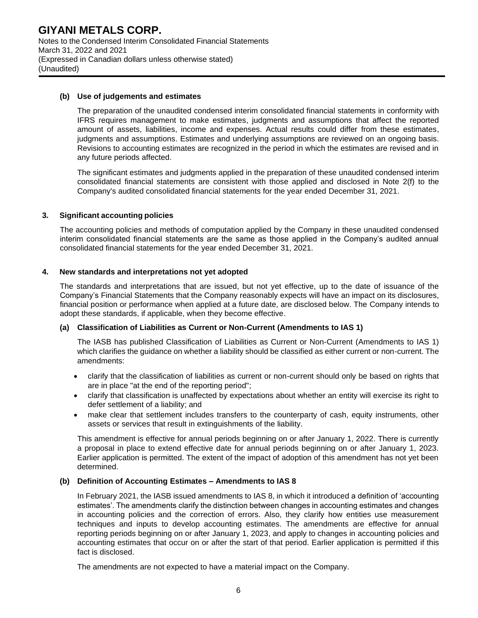#### **(b) Use of judgements and estimates**

The preparation of the unaudited condensed interim consolidated financial statements in conformity with IFRS requires management to make estimates, judgments and assumptions that affect the reported amount of assets, liabilities, income and expenses. Actual results could differ from these estimates, judgments and assumptions. Estimates and underlying assumptions are reviewed on an ongoing basis. Revisions to accounting estimates are recognized in the period in which the estimates are revised and in any future periods affected.

The significant estimates and judgments applied in the preparation of these unaudited condensed interim consolidated financial statements are consistent with those applied and disclosed in Note 2(f) to the Company's audited consolidated financial statements for the year ended December 31, 2021.

#### **3. Significant accounting policies**

The accounting policies and methods of computation applied by the Company in these unaudited condensed interim consolidated financial statements are the same as those applied in the Company's audited annual consolidated financial statements for the year ended December 31, 2021.

#### **4. New standards and interpretations not yet adopted**

The standards and interpretations that are issued, but not yet effective, up to the date of issuance of the Company's Financial Statements that the Company reasonably expects will have an impact on its disclosures, financial position or performance when applied at a future date, are disclosed below. The Company intends to adopt these standards, if applicable, when they become effective.

#### **(a) Classification of Liabilities as Current or Non-Current (Amendments to IAS 1)**

The IASB has published Classification of Liabilities as Current or Non-Current (Amendments to IAS 1) which clarifies the guidance on whether a liability should be classified as either current or non-current. The amendments:

- clarify that the classification of liabilities as current or non-current should only be based on rights that are in place "at the end of the reporting period";
- clarify that classification is unaffected by expectations about whether an entity will exercise its right to defer settlement of a liability; and
- make clear that settlement includes transfers to the counterparty of cash, equity instruments, other assets or services that result in extinguishments of the liability.

This amendment is effective for annual periods beginning on or after January 1, 2022. There is currently a proposal in place to extend effective date for annual periods beginning on or after January 1, 2023. Earlier application is permitted. The extent of the impact of adoption of this amendment has not yet been determined.

# **(b) Definition of Accounting Estimates – Amendments to IAS 8**

In February 2021, the IASB issued amendments to IAS 8, in which it introduced a definition of 'accounting estimates'. The amendments clarify the distinction between changes in accounting estimates and changes in accounting policies and the correction of errors. Also, they clarify how entities use measurement techniques and inputs to develop accounting estimates. The amendments are effective for annual reporting periods beginning on or after January 1, 2023, and apply to changes in accounting policies and accounting estimates that occur on or after the start of that period. Earlier application is permitted if this fact is disclosed.

The amendments are not expected to have a material impact on the Company.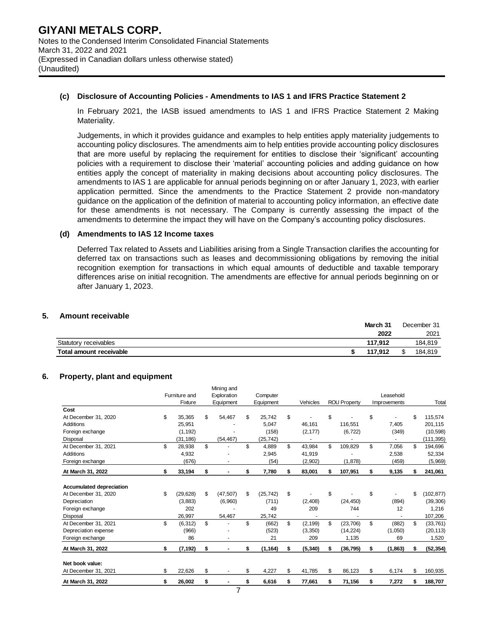#### **(c) Disclosure of Accounting Policies - Amendments to IAS 1 and IFRS Practice Statement 2**

In February 2021, the IASB issued amendments to IAS 1 and IFRS Practice Statement 2 Making Materiality.

Judgements, in which it provides guidance and examples to help entities apply materiality judgements to accounting policy disclosures. The amendments aim to help entities provide accounting policy disclosures that are more useful by replacing the requirement for entities to disclose their 'significant' accounting policies with a requirement to disclose their 'material' accounting policies and adding guidance on how entities apply the concept of materiality in making decisions about accounting policy disclosures. The amendments to IAS 1 are applicable for annual periods beginning on or after January 1, 2023, with earlier application permitted. Since the amendments to the Practice Statement 2 provide non-mandatory guidance on the application of the definition of material to accounting policy information, an effective date for these amendments is not necessary. The Company is currently assessing the impact of the amendments to determine the impact they will have on the Company's accounting policy disclosures.

#### **(d) Amendments to IAS 12 Income taxes**

Deferred Tax related to Assets and Liabilities arising from a Single Transaction clarifies the accounting for deferred tax on transactions such as leases and decommissioning obligations by removing the initial recognition exemption for transactions in which equal amounts of deductible and taxable temporary differences arise on initial recognition. The amendments are effective for annual periods beginning on or after January 1, 2023.

#### **5. Amount receivable**

|                         | March 31 | December 31 |
|-------------------------|----------|-------------|
|                         | 2022     | 2021        |
| Statutory receivables   | 117.912  | 184.819     |
| Total amount receivable | 117.912  | 184,819     |

#### **6. Property, plant and equipment**

|                                         |                 | Mining and           |                 |                |                     |                |    |            |
|-----------------------------------------|-----------------|----------------------|-----------------|----------------|---------------------|----------------|----|------------|
|                                         | Furniture and   | Exploration          | Computer        |                |                     | Leasehold      |    |            |
|                                         | Fixture         | Equipment            | Equipment       | Vehicles       | <b>ROU Property</b> | Improvements   |    | Total      |
| Cost                                    |                 |                      |                 |                |                     |                |    |            |
| At December 31, 2020                    | \$<br>35,365    | \$<br>54,467         | \$<br>25,742    | \$             | \$                  | \$             | \$ | 115,574    |
| <b>Additions</b>                        | 25,951          |                      | 5.047           | 46.161         | 116.551             | 7,405          |    | 201,115    |
| Foreign exchange                        | (1, 192)        |                      | (158)           | (2, 177)       | (6, 722)            | (349)          |    | (10, 598)  |
| Disposal                                | (31,186)        | (54, 467)            | (25, 742)       | ٠              | ٠                   | ٠              |    | (111, 395) |
| At December 31, 2021                    | \$<br>28,938    | \$                   | \$<br>4,889     | \$<br>43,984   | \$<br>109,829       | \$<br>7,056    | \$ | 194,696    |
| <b>Additions</b>                        | 4,932           |                      | 2,945           | 41,919         |                     | 2,538          |    | 52,334     |
| Foreign exchange                        | (676)           |                      | (54)            | (2,902)        | (1,878)             | (459)          |    | (5,969)    |
| At March 31, 2022                       | \$<br>33,194    | \$                   | \$<br>7,780     | \$<br>83,001   | \$<br>107,951       | \$<br>9,135    | S  | 241,061    |
|                                         |                 |                      |                 |                |                     |                |    |            |
| <b>Accumulated depreciation</b>         |                 |                      |                 |                |                     |                |    |            |
| At December 31, 2020                    | \$<br>(29, 628) | \$<br>(47, 507)      | \$<br>(25, 742) | \$             | \$                  | \$             | \$ | (102, 877) |
| Depreciation                            | (3,883)         | (6,960)              | (711)           | (2,408)        | (24, 450)           | (894)          |    | (39, 306)  |
| Foreign exchange                        | 202             |                      | 49              | 209            | 744                 | 12             |    | 1,216      |
| Disposal                                | 26,997          | 54,467               | 25,742          |                |                     | $\blacksquare$ |    | 107,206    |
| At December 31, 2021                    | \$<br>(6, 312)  | \$<br>$\blacksquare$ | \$<br>(662)     | \$<br>(2, 199) | \$<br>(23, 706)     | \$<br>(882)    | \$ | (33, 761)  |
| Depreciation expense                    | (966)           |                      | (523)           | (3,350)        | (14, 224)           | (1,050)        |    | (20, 113)  |
| Foreign exchange                        | 86              |                      | 21              | 209            | 1,135               | 69             |    | 1,520      |
| At March 31, 2022                       | \$<br>(7, 192)  | \$<br>$\blacksquare$ | \$<br>(1, 164)  | \$<br>(5, 340) | \$<br>(36,795)      | \$<br>(1,863)  | \$ | (52, 354)  |
|                                         |                 |                      |                 |                |                     |                |    |            |
| Net book value:<br>At December 31, 2021 | \$<br>22,626    | \$                   | \$<br>4,227     | \$<br>41.785   | \$<br>86,123        | \$<br>6,174    | \$ | 160,935    |
| At March 31, 2022                       | \$<br>26,002    | \$                   | \$<br>6,616     | \$<br>77,661   | \$<br>71,156        | \$<br>7,272    | \$ | 188,707    |
|                                         |                 |                      |                 |                |                     |                |    |            |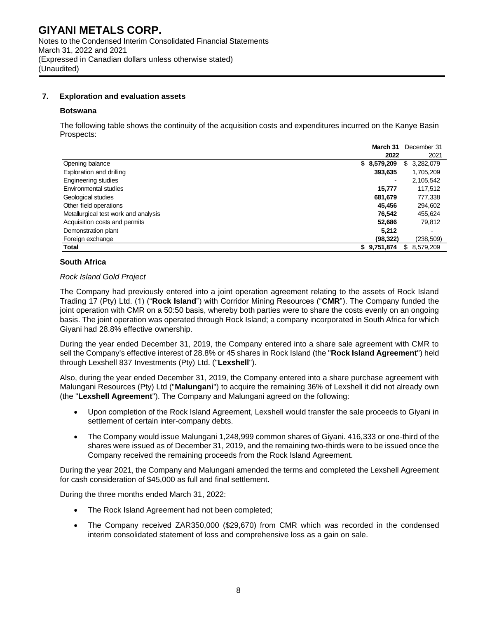#### **7. Exploration and evaluation assets**

#### **Botswana**

The following table shows the continuity of the acquisition costs and expenditures incurred on the Kanye Basin Prospects:

**March 31** December 31

|                                      | March 31    | December 31      |
|--------------------------------------|-------------|------------------|
|                                      | 2022        | 2021             |
| Opening balance                      | \$8,579,209 | 3,282,079<br>\$  |
| Exploration and drilling             | 393,635     | 1,705,209        |
| Engineering studies                  | -           | 2,105,542        |
| Environmental studies                | 15,777      | 117,512          |
| Geological studies                   | 681.679     | 777,338          |
| Other field operations               | 45,456      | 294,602          |
| Metallurgical test work and analysis | 76,542      | 455,624          |
| Acquisition costs and permits        | 52,686      | 79,812           |
| Demonstration plant                  | 5,212       |                  |
| Foreign exchange                     | (98,322)    | (238,509)        |
| Total                                | \$9,751,874 | 8,579,209<br>\$. |

#### **South Africa**

#### *Rock Island Gold Project*

The Company had previously entered into a joint operation agreement relating to the assets of Rock Island Trading 17 (Pty) Ltd. (1) ("**Rock Island**") with Corridor Mining Resources ("**CMR**"). The Company funded the joint operation with CMR on a 50:50 basis, whereby both parties were to share the costs evenly on an ongoing basis. The joint operation was operated through Rock Island; a company incorporated in South Africa for which Giyani had 28.8% effective ownership.

During the year ended December 31, 2019, the Company entered into a share sale agreement with CMR to sell the Company's effective interest of 28.8% or 45 shares in Rock Island (the "**Rock Island Agreement**") held through Lexshell 837 Investments (Pty) Ltd. ("**Lexshell**").

Also, during the year ended December 31, 2019, the Company entered into a share purchase agreement with Malungani Resources (Pty) Ltd ("**Malungani**") to acquire the remaining 36% of Lexshell it did not already own (the "**Lexshell Agreement**"). The Company and Malungani agreed on the following:

- Upon completion of the Rock Island Agreement, Lexshell would transfer the sale proceeds to Giyani in settlement of certain inter-company debts.
- The Company would issue Malungani 1,248,999 common shares of Giyani. 416,333 or one-third of the shares were issued as of December 31, 2019, and the remaining two-thirds were to be issued once the Company received the remaining proceeds from the Rock Island Agreement.

During the year 2021, the Company and Malungani amended the terms and completed the Lexshell Agreement for cash consideration of \$45,000 as full and final settlement.

During the three months ended March 31, 2022:

- The Rock Island Agreement had not been completed;
- The Company received ZAR350,000 (\$29,670) from CMR which was recorded in the condensed interim consolidated statement of loss and comprehensive loss as a gain on sale.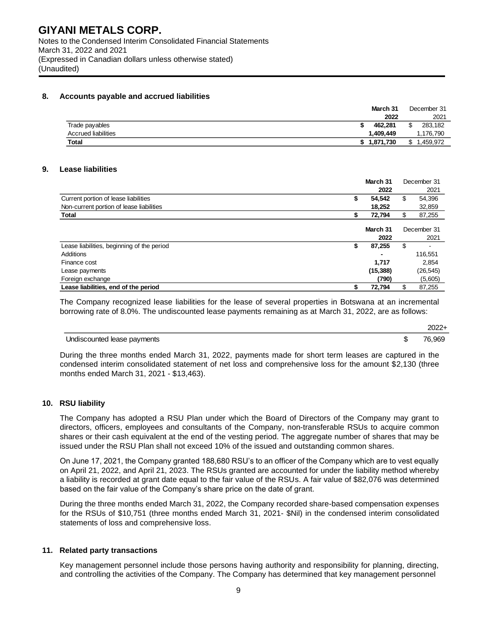#### **8. Accounts payable and accrued liabilities**

|                            | March 31    | December 31        |
|----------------------------|-------------|--------------------|
|                            | 2022        | 2021               |
| Trade payables             | 462.281     | 283.182<br>r<br>J. |
| <b>Accrued liabilities</b> | 1.409.449   | ,176,790           |
| <b>Total</b>               | \$1,871,730 | .459.972<br>٠n     |

#### **9. Lease liabilities**

|                                            |   | March 31  | December 31  |
|--------------------------------------------|---|-----------|--------------|
|                                            |   | 2022      | 2021         |
| Current portion of lease liabilities       | S | 54.542    | \$<br>54,396 |
| Non-current portion of lease liabilities   |   | 18,252    | 32,859       |
| <b>Total</b>                               |   | 72,794    | \$<br>87,255 |
|                                            |   |           |              |
|                                            |   | March 31  | December 31  |
|                                            |   | 2022      | 2021         |
| Lease liabilities, beginning of the period | S | 87,255    | \$           |
| Additions                                  |   |           | 116,551      |
| Finance cost                               |   | 1,717     | 2,854        |
| Lease payments                             |   | (15, 388) | (26, 545)    |
| Foreign exchange                           |   | (790)     | (5,605)      |
| Lease liabilities, end of the period       |   | 72,794    | 87.255       |

The Company recognized lease liabilities for the lease of several properties in Botswana at an incremental borrowing rate of 8.0%. The undiscounted lease payments remaining as at March 31, 2022, are as follows:

2022+

#### Undiscounted lease payments **but a set of the set of the set of the set of the set of the set of the set of the set of the set of the set of the set of the set of the set of the set of the set of the set of the set of the**

During the three months ended March 31, 2022, payments made for short term leases are captured in the condensed interim consolidated statement of net loss and comprehensive loss for the amount \$2,130 (three months ended March 31, 2021 - \$13,463).

#### **10. RSU liability**

The Company has adopted a RSU Plan under which the Board of Directors of the Company may grant to directors, officers, employees and consultants of the Company, non-transferable RSUs to acquire common shares or their cash equivalent at the end of the vesting period. The aggregate number of shares that may be issued under the RSU Plan shall not exceed 10% of the issued and outstanding common shares.

On June 17, 2021, the Company granted 188,680 RSU's to an officer of the Company which are to vest equally on April 21, 2022, and April 21, 2023. The RSUs granted are accounted for under the liability method whereby a liability is recorded at grant date equal to the fair value of the RSUs. A fair value of \$82,076 was determined based on the fair value of the Company's share price on the date of grant.

During the three months ended March 31, 2022, the Company recorded share-based compensation expenses for the RSUs of \$10,751 (three months ended March 31, 2021- \$Nil) in the condensed interim consolidated statements of loss and comprehensive loss.

#### **11. Related party transactions**

Key management personnel include those persons having authority and responsibility for planning, directing, and controlling the activities of the Company. The Company has determined that key management personnel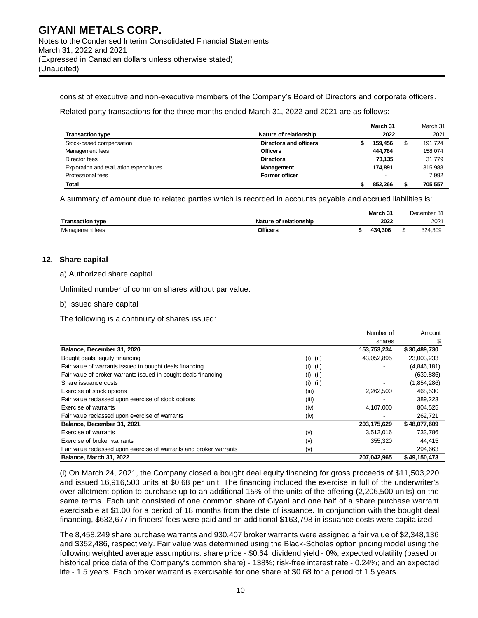consist of executive and non-executive members of the Company's Board of Directors and corporate officers.

Related party transactions for the three months ended March 31, 2022 and 2021 are as follows:

|                                         |                        | March 31                 | March 31      |
|-----------------------------------------|------------------------|--------------------------|---------------|
| <b>Transaction type</b>                 | Nature of relationship | 2022                     | 2021          |
| Stock-based compensation                | Directors and officers | 159.456                  | \$<br>191,724 |
| Management fees                         | <b>Officers</b>        | 444.784                  | 158,074       |
| Director fees                           | <b>Directors</b>       | 73.135                   | 31.779        |
| Exploration and evaluation expenditures | <b>Management</b>      | 174.891                  | 315,988       |
| Professional fees                       | <b>Former officer</b>  | $\overline{\phantom{a}}$ | 7,992         |
| Total                                   |                        | 852.266                  | 705.557       |

A summary of amount due to related parties which is recorded in accounts payable and accrued liabilities is:

|                         |                        | March 31 | December 31 |
|-------------------------|------------------------|----------|-------------|
| <b>Transaction type</b> | Nature of relationship | 2022     | 2021        |
| Management fees         | Officers               | 434.306  | 324.309     |

#### **12. Share capital**

a) Authorized share capital

Unlimited number of common shares without par value.

b) Issued share capital

The following is a continuity of shares issued:

|                                                                    |           | Number of   | Amount       |
|--------------------------------------------------------------------|-----------|-------------|--------------|
|                                                                    |           | shares      |              |
| Balance, December 31, 2020                                         |           | 153,753,234 | \$30,489,730 |
| Bought deals, equity financing                                     | (i), (ii) | 43,052,895  | 23,003,233   |
| Fair value of warrants issued in bought deals financing            | (i), (ii) |             | (4,846,181)  |
| Fair value of broker warrants issued in bought deals financing     | (i), (ii) |             | (639, 886)   |
| Share issuance costs                                               | (i), (ii) |             | (1,854,286)  |
| Exercise of stock options                                          | (iii)     | 2,262,500   | 468,530      |
| Fair value reclassed upon exercise of stock options                | (iii)     |             | 389,223      |
| Exercise of warrants                                               | (iv)      | 4,107,000   | 804,525      |
| Fair value reclassed upon exercise of warrants                     | (iv)      |             | 262,721      |
| Balance, December 31, 2021                                         |           | 203,175,629 | \$48,077,609 |
| Exercise of warrants                                               | (v)       | 3,512,016   | 733,786      |
| Exercise of broker warrants                                        | (v)       | 355,320     | 44,415       |
| Fair value reclassed upon exercise of warrants and broker warrants | $(\vee)$  |             | 294,663      |
| Balance, March 31, 2022                                            |           | 207,042,965 | \$49,150,473 |

(i) On March 24, 2021, the Company closed a bought deal equity financing for gross proceeds of \$11,503,220 and issued 16,916,500 units at \$0.68 per unit. The financing included the exercise in full of the underwriter's over-allotment option to purchase up to an additional 15% of the units of the offering (2,206,500 units) on the same terms. Each unit consisted of one common share of Giyani and one half of a share purchase warrant exercisable at \$1.00 for a period of 18 months from the date of issuance. In conjunction with the bought deal financing, \$632,677 in finders' fees were paid and an additional \$163,798 in issuance costs were capitalized.

The 8,458,249 share purchase warrants and 930,407 broker warrants were assigned a fair value of \$2,348,136 and \$352,486, respectively. Fair value was determined using the Black-Scholes option pricing model using the following weighted average assumptions: share price - \$0.64, dividend yield - 0%; expected volatility (based on historical price data of the Company's common share) - 138%; risk-free interest rate - 0.24%; and an expected life - 1.5 years. Each broker warrant is exercisable for one share at \$0.68 for a period of 1.5 years.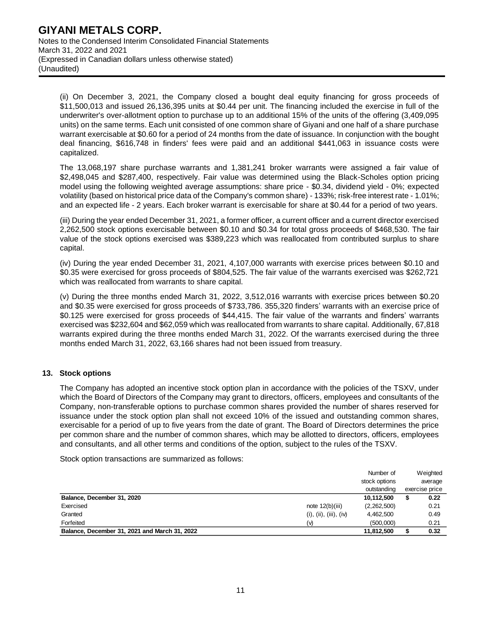(ii) On December 3, 2021, the Company closed a bought deal equity financing for gross proceeds of \$11,500,013 and issued 26,136,395 units at \$0.44 per unit. The financing included the exercise in full of the underwriter's over-allotment option to purchase up to an additional 15% of the units of the offering (3,409,095 units) on the same terms. Each unit consisted of one common share of Giyani and one half of a share purchase warrant exercisable at \$0.60 for a period of 24 months from the date of issuance. In conjunction with the bought deal financing, \$616,748 in finders' fees were paid and an additional \$441,063 in issuance costs were capitalized.

The 13,068,197 share purchase warrants and 1,381,241 broker warrants were assigned a fair value of \$2,498,045 and \$287,400, respectively. Fair value was determined using the Black-Scholes option pricing model using the following weighted average assumptions: share price - \$0.34, dividend yield - 0%; expected volatility (based on historical price data of the Company's common share) - 133%; risk-free interest rate - 1.01%; and an expected life - 2 years. Each broker warrant is exercisable for share at \$0.44 for a period of two years.

(iii) During the year ended December 31, 2021, a former officer, a current officer and a current director exercised 2,262,500 stock options exercisable between \$0.10 and \$0.34 for total gross proceeds of \$468,530. The fair value of the stock options exercised was \$389,223 which was reallocated from contributed surplus to share capital.

(iv) During the year ended December 31, 2021, 4,107,000 warrants with exercise prices between \$0.10 and \$0.35 were exercised for gross proceeds of \$804,525. The fair value of the warrants exercised was \$262,721 which was reallocated from warrants to share capital.

(v) During the three months ended March 31, 2022, 3,512,016 warrants with exercise prices between \$0.20 and \$0.35 were exercised for gross proceeds of \$733,786. 355,320 finders' warrants with an exercise price of \$0.125 were exercised for gross proceeds of \$44,415. The fair value of the warrants and finders' warrants exercised was \$232,604 and \$62,059 which was reallocated from warrants to share capital. Additionally, 67,818 warrants expired during the three months ended March 31, 2022. Of the warrants exercised during the three months ended March 31, 2022, 63,166 shares had not been issued from treasury.

# **13. Stock options**

The Company has adopted an incentive stock option plan in accordance with the policies of the TSXV, under which the Board of Directors of the Company may grant to directors, officers, employees and consultants of the Company, non-transferable options to purchase common shares provided the number of shares reserved for issuance under the stock option plan shall not exceed 10% of the issued and outstanding common shares, exercisable for a period of up to five years from the date of grant. The Board of Directors determines the price per common share and the number of common shares, which may be allotted to directors, officers, employees and consultants, and all other terms and conditions of the option, subject to the rules of the TSXV.

Stock option transactions are summarized as follows:

|                                               |                        | Number of     | Weighted       |
|-----------------------------------------------|------------------------|---------------|----------------|
|                                               |                        | stock options | average        |
|                                               |                        | outstanding   | exercise price |
| Balance, December 31, 2020                    |                        | 10,112,500    | 0.22           |
| Exercised                                     | note $12(b)(iii)$      | (2,262,500)   | 0.21           |
| Granted                                       | (i), (ii), (iii), (iv) | 4,462,500     | 0.49           |
| Forfeited                                     | (v)                    | (500,000)     | 0.21           |
| Balance, December 31, 2021 and March 31, 2022 |                        | 11,812,500    | 0.32           |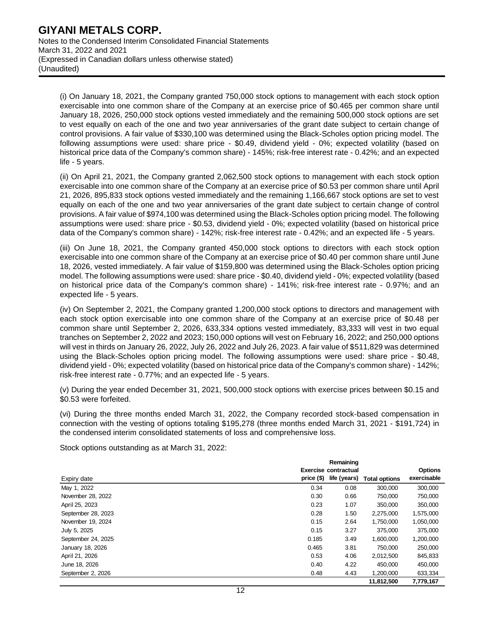(i) On January 18, 2021, the Company granted 750,000 stock options to management with each stock option exercisable into one common share of the Company at an exercise price of \$0.465 per common share until January 18, 2026, 250,000 stock options vested immediately and the remaining 500,000 stock options are set to vest equally on each of the one and two year anniversaries of the grant date subject to certain change of control provisions. A fair value of \$330,100 was determined using the Black-Scholes option pricing model. The following assumptions were used: share price - \$0.49, dividend yield - 0%; expected volatility (based on historical price data of the Company's common share) - 145%; risk-free interest rate - 0.42%; and an expected life - 5 years.

(ii) On April 21, 2021, the Company granted 2,062,500 stock options to management with each stock option exercisable into one common share of the Company at an exercise price of \$0.53 per common share until April 21, 2026, 895,833 stock options vested immediately and the remaining 1,166,667 stock options are set to vest equally on each of the one and two year anniversaries of the grant date subject to certain change of control provisions. A fair value of \$974,100 was determined using the Black-Scholes option pricing model. The following assumptions were used: share price - \$0.53, dividend yield - 0%; expected volatility (based on historical price data of the Company's common share) - 142%; risk-free interest rate - 0.42%; and an expected life - 5 years.

(iii) On June 18, 2021, the Company granted 450,000 stock options to directors with each stock option exercisable into one common share of the Company at an exercise price of \$0.40 per common share until June 18, 2026, vested immediately. A fair value of \$159,800 was determined using the Black-Scholes option pricing model. The following assumptions were used: share price - \$0.40, dividend yield - 0%; expected volatility (based on historical price data of the Company's common share) - 141%; risk-free interest rate - 0.97%; and an expected life - 5 years.

(iv) On September 2, 2021, the Company granted 1,200,000 stock options to directors and management with each stock option exercisable into one common share of the Company at an exercise price of \$0.48 per common share until September 2, 2026, 633,334 options vested immediately, 83,333 will vest in two equal tranches on September 2, 2022 and 2023; 150,000 options will vest on February 16, 2022; and 250,000 options will vest in thirds on January 26, 2022, July 26, 2022 and July 26, 2023. A fair value of \$511,829 was determined using the Black-Scholes option pricing model. The following assumptions were used: share price - \$0.48, dividend yield - 0%; expected volatility (based on historical price data of the Company's common share) - 142%; risk-free interest rate - 0.77%; and an expected life - 5 years.

(v) During the year ended December 31, 2021, 500,000 stock options with exercise prices between \$0.15 and \$0.53 were forfeited.

(vi) During the three months ended March 31, 2022, the Company recorded stock-based compensation in connection with the vesting of options totaling \$195,278 (three months ended March 31, 2021 - \$191,724) in the condensed interim consolidated statements of loss and comprehensive loss.

Stock options outstanding as at March 31, 2022:

|                      |            | Remaining    |                      |                |  |  |  |
|----------------------|------------|--------------|----------------------|----------------|--|--|--|
| Exercise contractual |            |              |                      | <b>Options</b> |  |  |  |
| Expiry date          | price (\$) | life (years) | <b>Total options</b> | exercisable    |  |  |  |
| May 1, 2022          | 0.34       | 0.08         | 300,000              | 300,000        |  |  |  |
| November 28, 2022    | 0.30       | 0.66         | 750,000              | 750,000        |  |  |  |
| April 25, 2023       | 0.23       | 1.07         | 350,000              | 350,000        |  |  |  |
| September 28, 2023   | 0.28       | 1.50         | 2,275,000            | 1,575,000      |  |  |  |
| November 19, 2024    | 0.15       | 2.64         | 1,750,000            | 1,050,000      |  |  |  |
| July 5, 2025         | 0.15       | 3.27         | 375,000              | 375,000        |  |  |  |
| September 24, 2025   | 0.185      | 3.49         | 1,600,000            | 1,200,000      |  |  |  |
| January 18, 2026     | 0.465      | 3.81         | 750,000              | 250,000        |  |  |  |
| April 21, 2026       | 0.53       | 4.06         | 2,012,500            | 845,833        |  |  |  |
| June 18, 2026        | 0.40       | 4.22         | 450,000              | 450,000        |  |  |  |
| September 2, 2026    | 0.48       | 4.43         | 1,200,000            | 633,334        |  |  |  |
|                      |            |              | 11.812.500           | 7.779.167      |  |  |  |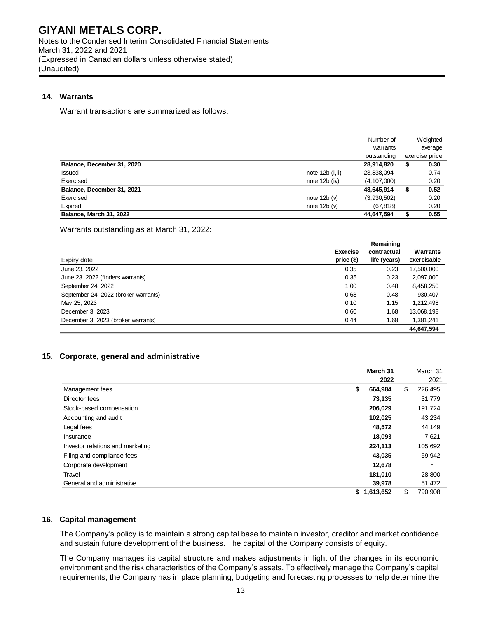Notes to the Condensed Interim Consolidated Financial Statements March 31, 2022 and 2021 (Expressed in Canadian dollars unless otherwise stated) (Unaudited)

# **14. Warrants**

Warrant transactions are summarized as follows:

|                            |                            | Number of<br>warrants |    | Weighted<br>average |
|----------------------------|----------------------------|-----------------------|----|---------------------|
|                            |                            | outstanding           |    | exercise price      |
| Balance, December 31, 2020 |                            | 28,914,820            | \$ | 0.30                |
| Issued                     | note $12b$ ( <i>i,ii</i> ) | 23,838,094            |    | 0.74                |
| Exercised                  | note $12b$ (iv)            | (4, 107, 000)         |    | 0.20                |
| Balance, December 31, 2021 |                            | 48,645,914            | \$ | 0.52                |
| Exercised                  | note $12b(v)$              | (3,930,502)           |    | 0.20                |
| Expired                    | note $12b(v)$              | (67, 818)             |    | 0.20                |
| Balance, March 31, 2022    |                            | 44,647,594            | S  | 0.55                |

Warrants outstanding as at March 31, 2022:

|                                      |                 | Remaining    |             |  |
|--------------------------------------|-----------------|--------------|-------------|--|
|                                      | <b>Exercise</b> | contractual  | Warrants    |  |
| Expiry date                          | price $($)$     | life (years) | exercisable |  |
| June 23, 2022                        | 0.35            | 0.23         | 17,500,000  |  |
| June 23, 2022 (finders warrants)     | 0.35            | 0.23         | 2,097,000   |  |
| September 24, 2022                   | 1.00            | 0.48         | 8,458,250   |  |
| September 24, 2022 (broker warrants) | 0.68            | 0.48         | 930,407     |  |
| May 25, 2023                         | 0.10            | 1.15         | 1,212,498   |  |
| December 3, 2023                     | 0.60            | 1.68         | 13,068,198  |  |
| December 3, 2023 (broker warrants)   | 0.44            | 1.68         | 1,381,241   |  |
|                                      |                 |              | 44.647.594  |  |

# **15. Corporate, general and administrative**

|                                  | March 31      |    | March 31 |
|----------------------------------|---------------|----|----------|
|                                  | 2022          |    | 2021     |
| Management fees                  | \$<br>664.984 | \$ | 226,495  |
| Director fees                    | 73,135        |    | 31,779   |
| Stock-based compensation         | 206,029       |    | 191,724  |
| Accounting and audit             | 102,025       |    | 43,234   |
| Legal fees                       | 48,572        |    | 44,149   |
| Insurance                        | 18,093        |    | 7,621    |
| Investor relations and marketing | 224,113       |    | 105,692  |
| Filing and compliance fees       | 43,035        |    | 59,942   |
| Corporate development            | 12,678        |    |          |
| Travel                           | 181,010       |    | 28,800   |
| General and administrative       | 39,978        |    | 51,472   |
|                                  | \$1,613,652   | S  | 790,908  |

# **16. Capital management**

The Company's policy is to maintain a strong capital base to maintain investor, creditor and market confidence and sustain future development of the business. The capital of the Company consists of equity.

The Company manages its capital structure and makes adjustments in light of the changes in its economic environment and the risk characteristics of the Company's assets. To effectively manage the Company's capital requirements, the Company has in place planning, budgeting and forecasting processes to help determine the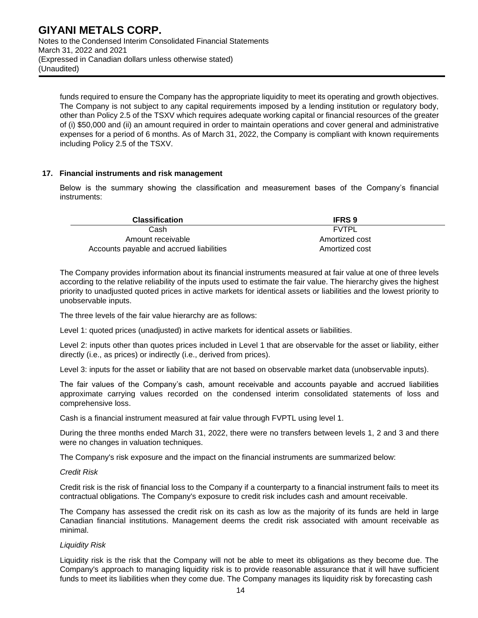funds required to ensure the Company has the appropriate liquidity to meet its operating and growth objectives. The Company is not subject to any capital requirements imposed by a lending institution or regulatory body, other than Policy 2.5 of the TSXV which requires adequate working capital or financial resources of the greater of (i) \$50,000 and (ii) an amount required in order to maintain operations and cover general and administrative expenses for a period of 6 months. As of March 31, 2022, the Company is compliant with known requirements including Policy 2.5 of the TSXV.

#### **17. Financial instruments and risk management**

Below is the summary showing the classification and measurement bases of the Company's financial instruments:

| <b>Classification</b>                    | <b>IFRS 9</b>  |  |
|------------------------------------------|----------------|--|
| Cash                                     | <b>FVTPL</b>   |  |
| Amount receivable                        | Amortized cost |  |
| Accounts payable and accrued liabilities | Amortized cost |  |

The Company provides information about its financial instruments measured at fair value at one of three levels according to the relative reliability of the inputs used to estimate the fair value. The hierarchy gives the highest priority to unadjusted quoted prices in active markets for identical assets or liabilities and the lowest priority to unobservable inputs.

The three levels of the fair value hierarchy are as follows:

Level 1: quoted prices (unadjusted) in active markets for identical assets or liabilities.

Level 2: inputs other than quotes prices included in Level 1 that are observable for the asset or liability, either directly (i.e., as prices) or indirectly (i.e., derived from prices).

Level 3: inputs for the asset or liability that are not based on observable market data (unobservable inputs).

The fair values of the Company's cash, amount receivable and accounts payable and accrued liabilities approximate carrying values recorded on the condensed interim consolidated statements of loss and comprehensive loss.

Cash is a financial instrument measured at fair value through FVPTL using level 1.

During the three months ended March 31, 2022, there were no transfers between levels 1, 2 and 3 and there were no changes in valuation techniques.

The Company's risk exposure and the impact on the financial instruments are summarized below:

#### *Credit Risk*

Credit risk is the risk of financial loss to the Company if a counterparty to a financial instrument fails to meet its contractual obligations. The Company's exposure to credit risk includes cash and amount receivable.

The Company has assessed the credit risk on its cash as low as the majority of its funds are held in large Canadian financial institutions. Management deems the credit risk associated with amount receivable as minimal.

#### *Liquidity Risk*

Liquidity risk is the risk that the Company will not be able to meet its obligations as they become due. The Company's approach to managing liquidity risk is to provide reasonable assurance that it will have sufficient funds to meet its liabilities when they come due. The Company manages its liquidity risk by forecasting cash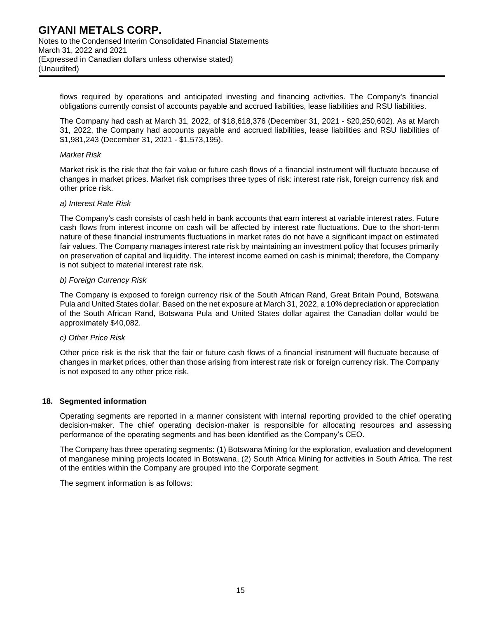flows required by operations and anticipated investing and financing activities. The Company's financial obligations currently consist of accounts payable and accrued liabilities, lease liabilities and RSU liabilities.

The Company had cash at March 31, 2022, of \$18,618,376 (December 31, 2021 - \$20,250,602). As at March 31, 2022, the Company had accounts payable and accrued liabilities, lease liabilities and RSU liabilities of \$1,981,243 (December 31, 2021 - \$1,573,195).

#### *Market Risk*

Market risk is the risk that the fair value or future cash flows of a financial instrument will fluctuate because of changes in market prices. Market risk comprises three types of risk: interest rate risk, foreign currency risk and other price risk.

#### *a) Interest Rate Risk*

The Company's cash consists of cash held in bank accounts that earn interest at variable interest rates. Future cash flows from interest income on cash will be affected by interest rate fluctuations. Due to the short-term nature of these financial instruments fluctuations in market rates do not have a significant impact on estimated fair values. The Company manages interest rate risk by maintaining an investment policy that focuses primarily on preservation of capital and liquidity. The interest income earned on cash is minimal; therefore, the Company is not subject to material interest rate risk.

#### *b) Foreign Currency Risk*

The Company is exposed to foreign currency risk of the South African Rand, Great Britain Pound, Botswana Pula and United States dollar. Based on the net exposure at March 31, 2022, a 10% depreciation or appreciation of the South African Rand, Botswana Pula and United States dollar against the Canadian dollar would be approximately \$40,082.

#### *c) Other Price Risk*

Other price risk is the risk that the fair or future cash flows of a financial instrument will fluctuate because of changes in market prices, other than those arising from interest rate risk or foreign currency risk. The Company is not exposed to any other price risk.

#### **18. Segmented information**

Operating segments are reported in a manner consistent with internal reporting provided to the chief operating decision-maker. The chief operating decision-maker is responsible for allocating resources and assessing performance of the operating segments and has been identified as the Company's CEO.

The Company has three operating segments: (1) Botswana Mining for the exploration, evaluation and development of manganese mining projects located in Botswana, (2) South Africa Mining for activities in South Africa. The rest of the entities within the Company are grouped into the Corporate segment.

The segment information is as follows: